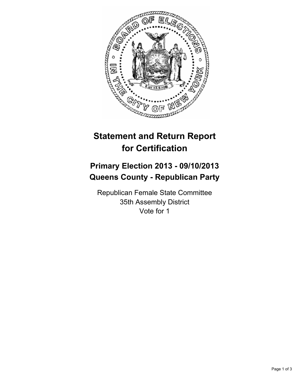

# **Statement and Return Report for Certification**

## **Primary Election 2013 - 09/10/2013 Queens County - Republican Party**

Republican Female State Committee 35th Assembly District Vote for 1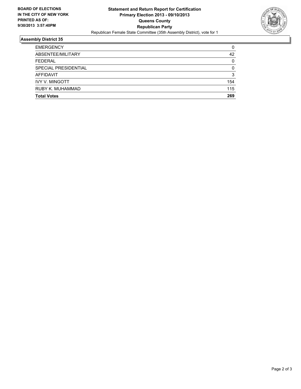

#### **Assembly District 35**

| <b>Total Votes</b>    | 269      |
|-----------------------|----------|
| RUBY K. MUHAMMAD      | 115      |
| <b>IVY V. MINGOTT</b> | 154      |
| <b>AFFIDAVIT</b>      | 3        |
| SPECIAL PRESIDENTIAL  | 0        |
| <b>FEDERAL</b>        | $\Omega$ |
| ABSENTEE/MILITARY     | 42       |
| <b>EMERGENCY</b>      | 0        |